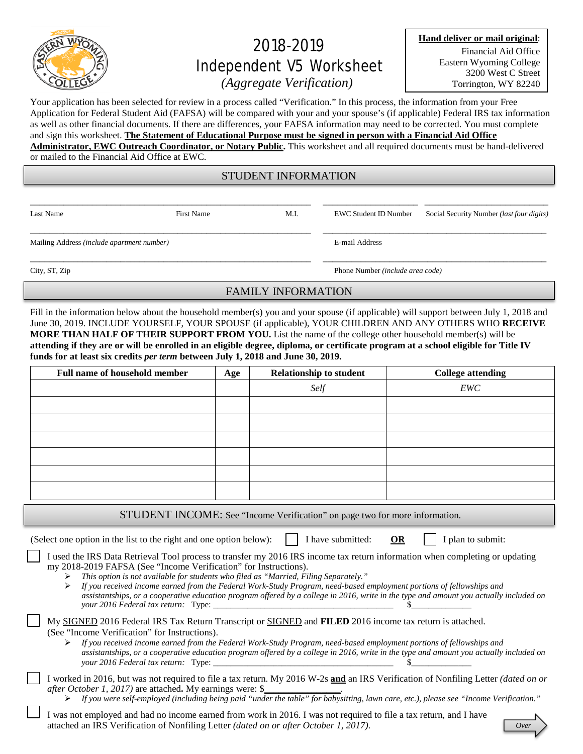# 2018-2019 Independent V5 Worksheet

**Hand deliver or mail original**: Financial Aid Office Eastern Wyoming College 3200 West C Street Torrington, WY 82240

*(Aggregate Verification)*

Your application has been selected for review in a process called "Verification." In this process, the information from your Free Application for Federal Student Aid (FAFSA) will be compared with your and your spouse's (if applicable) Federal IRS tax information as well as other financial documents. If there are differences, your FAFSA information may need to be corrected. You must complete and sign this worksheet. **The Statement of Educational Purpose must be signed in person with a Financial Aid Office Administrator, EWC Outreach Coordinator, or Notary Public.** This worksheet and all required documents must be hand-delivered or mailed to the Financial Aid Office at EWC.

STUDENT INFORMATION

\_\_\_\_\_\_\_\_\_\_\_\_\_\_\_\_\_\_\_\_\_\_\_\_\_\_\_\_\_\_\_\_\_\_\_\_\_\_\_\_\_\_\_\_\_\_\_\_\_\_\_\_\_\_\_\_\_\_\_ \_\_\_\_\_\_\_\_\_\_\_\_\_\_\_\_\_\_\_\_ \_\_\_\_\_\_\_\_\_\_\_\_\_\_\_\_\_\_\_\_\_\_\_\_\_\_

\_\_\_\_\_\_\_\_\_\_\_\_\_\_\_\_\_\_\_\_\_\_\_\_\_\_\_\_\_\_\_\_\_\_\_\_\_\_\_\_\_\_\_\_\_\_\_\_\_\_\_\_\_\_\_\_\_\_\_ \_\_\_\_\_\_\_\_\_\_\_\_\_\_\_\_\_\_\_\_\_\_\_\_\_\_\_\_\_\_\_\_\_\_\_\_\_\_\_\_\_\_\_\_\_\_\_

\_\_\_\_\_\_\_\_\_\_\_\_\_\_\_\_\_\_\_\_\_\_\_\_\_\_\_\_\_\_\_\_\_\_\_\_\_\_\_\_\_\_\_\_\_\_\_\_\_\_\_\_\_\_\_\_\_\_\_ \_\_\_\_\_\_\_\_\_\_\_\_\_\_\_\_\_\_\_\_\_\_\_\_\_\_\_\_\_\_\_\_\_\_\_\_\_\_\_\_\_\_\_\_\_\_\_

Last Name First Name M.I. EWC Student ID Number Social Security Number *(last four digits)*

*Over*

Mailing Address *(include apartment number)* E-mail Address

City, ST, Zip Phone Number *(include area code)*

# FAMILY INFORMATION

Fill in the information below about the household member(s) you and your spouse (if applicable) will support between July 1, 2018 and June 30, 2019. INCLUDE YOURSELF, YOUR SPOUSE (if applicable), YOUR CHILDREN AND ANY OTHERS WHO **RECEIVE MORE THAN HALF OF THEIR SUPPORT FROM YOU.** List the name of the college other household member(s) will be **attending if they are or will be enrolled in an eligible degree, diploma, or certificate program at a school eligible for Title IV funds for at least six credits** *per term* **between July 1, 2018 and June 30, 2019.**

| <b>Full name of household member</b>                                                                                                                          | Age | <b>Relationship to student</b>                                                                                       | <b>College attending</b>                                                                                                                 |
|---------------------------------------------------------------------------------------------------------------------------------------------------------------|-----|----------------------------------------------------------------------------------------------------------------------|------------------------------------------------------------------------------------------------------------------------------------------|
|                                                                                                                                                               |     | Self                                                                                                                 | <b>EWC</b>                                                                                                                               |
|                                                                                                                                                               |     |                                                                                                                      |                                                                                                                                          |
|                                                                                                                                                               |     |                                                                                                                      |                                                                                                                                          |
|                                                                                                                                                               |     |                                                                                                                      |                                                                                                                                          |
|                                                                                                                                                               |     |                                                                                                                      |                                                                                                                                          |
|                                                                                                                                                               |     |                                                                                                                      |                                                                                                                                          |
|                                                                                                                                                               |     |                                                                                                                      |                                                                                                                                          |
|                                                                                                                                                               |     | STUDENT INCOME: See "Income Verification" on page two for more information.                                          |                                                                                                                                          |
| (Select one option in the list to the right and one option below):                                                                                            |     | I have submitted:                                                                                                    | I plan to submit:<br><b>OR</b>                                                                                                           |
| I used the IRS Data Retrieval Tool process to transfer my 2016 IRS income tax return information when completing or updating                                  |     |                                                                                                                      |                                                                                                                                          |
| my 2018-2019 FAFSA (See "Income Verification" for Instructions).<br>This option is not available for students who filed as "Married, Filing Separately."<br>⋗ |     |                                                                                                                      |                                                                                                                                          |
| ➤                                                                                                                                                             |     | If you received income earned from the Federal Work-Study Program, need-based employment portions of fellowships and | assistantships, or a cooperative education program offered by a college in 2016, write in the type and amount you actually included on   |
| My SIGNED 2016 Federal IRS Tax Return Transcript or SIGNED and FILED 2016 income tax return is attached.                                                      |     |                                                                                                                      |                                                                                                                                          |
| (See "Income Verification" for Instructions).<br>➤                                                                                                            |     | If you received income earned from the Federal Work-Study Program, need-based employment portions of fellowships and |                                                                                                                                          |
|                                                                                                                                                               |     |                                                                                                                      | assistantships, or a cooperative education program offered by a college in 2016, write in the type and amount you actually included on   |
| I worked in 2016, but was not required to file a tax return. My 2016 W-2s and an IRS Verification of Nonfiling Letter (dated on or                            |     |                                                                                                                      |                                                                                                                                          |
| <i>after October 1, 2017)</i> are attached. My earnings were: \$                                                                                              |     |                                                                                                                      | ► If you were self-employed (including being paid "under the table" for babysitting, lawn care, etc.), please see "Income Verification." |
|                                                                                                                                                               |     |                                                                                                                      |                                                                                                                                          |

I was not employed and had no income earned from work in 2016. I was not required to file a tax return, and I have attached an IRS Verification of Nonfiling Letter *(dated on or after October 1, 2017)*.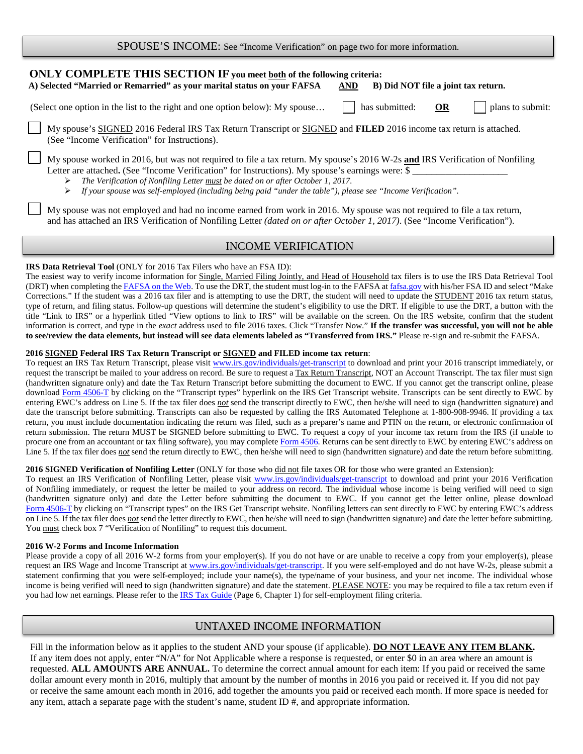| SPOUSE'S INCOME: See "Income Verification" on page two for more information. |  |
|------------------------------------------------------------------------------|--|
|------------------------------------------------------------------------------|--|

| ONLY COMPLETE THIS SECTION IF you meet both of the following criteria:<br>A) Selected "Married or Remarried" as your marital status on your FAFSA                  | B) Did NOT file a joint tax return.<br>AND                        |
|--------------------------------------------------------------------------------------------------------------------------------------------------------------------|-------------------------------------------------------------------|
| (Select one option in the list to the right and one option below): My spouse                                                                                       | $\vert$ $\vert$ plans to submit:<br>$\parallel$ has submitted: OR |
| My spouse's SIGNED 2016 Federal IRS Tax Return Transcript or SIGNED and FILED 2016 income tax return is attached.<br>(See "Income Verification" for Instructions). |                                                                   |

My spouse worked in 2016, but was not required to file a tax return. My spouse's 2016 W-2s **and** IRS Verification of Nonfiling Letter are attached. (See "Income Verification" for Instructions). My spouse's earnings were: \$

*The Verification of Nonfiling Letter must be dated on or after October 1, 2017.*

*If your spouse was self-employed (including being paid "under the table"), please see "Income Verification".*

My spouse was not employed and had no income earned from work in 2016. My spouse was not required to file a tax return, and has attached an IRS Verification of Nonfiling Letter *(dated on or after October 1, 2017)*. (See "Income Verification").

# INCOME VERIFICATION

#### **IRS Data Retrieval Tool** (ONLY for 2016 Tax Filers who have an FSA ID):

The easiest way to verify income information for Single, Married Filing Jointly, and Head of Household tax filers is to use the IRS Data Retrieval Tool (DRT) when completing the [FAFSA on the Web.](https://fafsa.ed.gov/) To use the DRT, the student must log-in to the FAFSA at [fafsa.gov](https://fafsa.ed.gov/) with his/her FSA ID and select "Make Corrections." If the student was a 2016 tax filer and is attempting to use the DRT, the student will need to update the STUDENT 2016 tax return status, type of return, and filing status. Follow-up questions will determine the student's eligibility to use the DRT. If eligible to use the DRT, a button with the title "Link to IRS" or a hyperlink titled "View options to link to IRS" will be available on the screen. On the IRS website, confirm that the student information is correct, and type in the *exact* address used to file 2016 taxes. Click "Transfer Now." **If the transfer was successful, you will not be able to see/review the data elements, but instead will see data elements labeled as "Transferred from IRS."** Please re-sign and re-submit the FAFSA.

#### **2016 SIGNED Federal IRS Tax Return Transcript or SIGNED and FILED income tax return**:

To request an IRS Tax Return Transcript, please visi[t www.irs.gov/individuals/get-transcript](https://www.irs.gov/individuals/get-transcript) to download and print your 2016 transcript immediately, or request the transcript be mailed to your address on record. Be sure to request a Tax Return Transcript, NOT an Account Transcript. The tax filer must sign (handwritten signature only) and date the Tax Return Transcript before submitting the document to EWC. If you cannot get the transcript online, please download [Form 4506-T](https://www.irs.gov/uac/about-form-4506t) by clicking on the "Transcript types" hyperlink on the IRS Get Transcript website. Transcripts can be sent directly to EWC by entering EWC's address on Line 5. If the tax filer does *not* send the transcript directly to EWC, then he/she will need to sign (handwritten signature) and date the transcript before submitting. Transcripts can also be requested by calling the IRS Automated Telephone at 1-800-908-9946. If providing a tax return, you must include documentation indicating the return was filed, such as a preparer's name and PTIN on the return, or electronic confirmation of return submission. The return MUST be SIGNED before submitting to EWC. To request a copy of your income tax return from the IRS (if unable to procure one from an accountant or tax filing software), you may complet[e Form 4506.](https://www.irs.gov/pub/irs-pdf/f4506.pdf) Returns can be sent directly to EWC by entering EWC's address on Line 5. If the tax filer does *not* send the return directly to EWC, then he/she will need to sign (handwritten signature) and date the return before submitting.

#### **2016 SIGNED Verification of Nonfiling Letter** (ONLY for those who did not file taxes OR for those who were granted an Extension):

To request an IRS Verification of Nonfiling Letter, please visit [www.irs.gov/individuals/get-transcript](https://www.irs.gov/individuals/get-transcript) to download and print your 2016 Verification of Nonfiling immediately, or request the letter be mailed to your address on record. The individual whose income is being verified will need to sign (handwritten signature only) and date the Letter before submitting the document to EWC. If you cannot get the letter online, please download [Form 4506-T](https://www.irs.gov/uac/about-form-4506t) by clicking on "Transcript types" on the IRS Get Transcript website. Nonfiling letters can sent directly to EWC by entering EWC's address on Line 5. If the tax filer does *not* send the letter directly to EWC, then he/she will need to sign (handwritten signature) and date the letter before submitting. You must check box 7 "Verification of Nonfiling" to request this document.

#### **2016 W-2 Forms and Income Information**

Please provide a copy of all 2016 W-2 forms from your employer(s). If you do not have or are unable to receive a copy from your employer(s), please request an IRS Wage and Income Transcript at [www.irs.gov/individuals/get-transcript.](https://www.irs.gov/individuals/get-transcript) If you were self-employed and do not have W-2s, please submit a statement confirming that you were self-employed; include your name(s), the type/name of your business, and your net income. The individual whose income is being verified will need to sign (handwritten signature) and date the statement. PLEASE NOTE: you may be required to file a tax return even if you had low net earnings. Please refer to the [IRS Tax Guide](https://www.irs.gov/pub/irs-pdf/p17.pdf) (Page 6, Chapter 1) for self-employment filing criteria.

# UNTAXED INCOME INFORMATION

Fill in the information below as it applies to the student AND your spouse (if applicable). **DO NOT LEAVE ANY ITEM BLANK.** If any item does not apply, enter "N/A" for Not Applicable where a response is requested, or enter \$0 in an area where an amount is requested. **ALL AMOUNTS ARE ANNUAL.** To determine the correct annual amount for each item: If you paid or received the same dollar amount every month in 2016, multiply that amount by the number of months in 2016 you paid or received it. If you did not pay or receive the same amount each month in 2016, add together the amounts you paid or received each month. If more space is needed for any item, attach a separate page with the student's name, student  $ID \#$ , and appropriate information.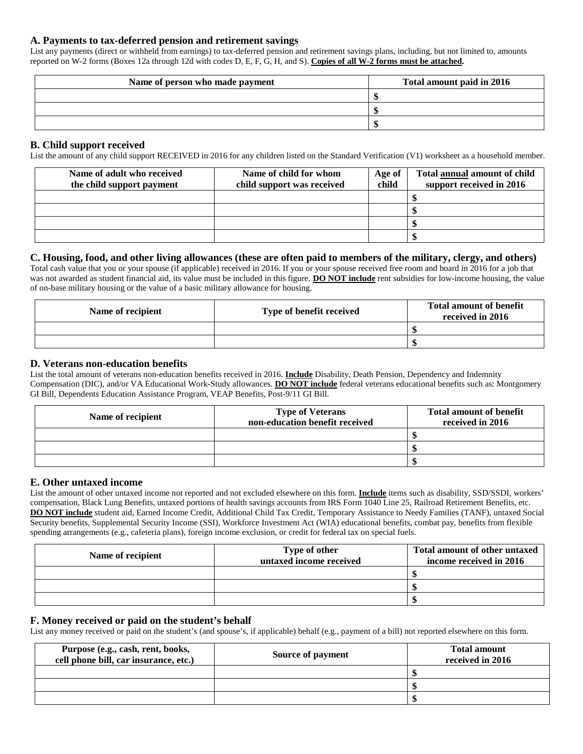### **A. Payments to tax-deferred pension and retirement savings**

List any payments (direct or withheld from earnings) to tax-deferred pension and retirement savings plans, including, but not limited to, amounts reported on W-2 forms (Boxes 12a through 12d with codes D, E, F, G, H, and S). **Copies of all W-2 forms must be attached.**

| Name of person who made payment | Total amount paid in 2016 |
|---------------------------------|---------------------------|
|                                 |                           |
|                                 |                           |
|                                 |                           |

#### **B. Child support received**

List the amount of any child support RECEIVED in 2016 for any children listed on the Standard Verification (V1) worksheet as a household member.

| Name of adult who received<br>the child support payment | Name of child for whom<br>child support was received | Age of<br>child | <b>Total annual amount of child</b><br>support received in 2016 |
|---------------------------------------------------------|------------------------------------------------------|-----------------|-----------------------------------------------------------------|
|                                                         |                                                      |                 |                                                                 |
|                                                         |                                                      |                 |                                                                 |
|                                                         |                                                      |                 |                                                                 |
|                                                         |                                                      |                 |                                                                 |

### **C. Housing, food, and other living allowances (these are often paid to members of the military, clergy, and others)**

Total cash value that you or your spouse (if applicable) received in 2016. If you or your spouse received free room and board in 2016 for a job that was not awarded as student financial aid, its value must be included in this figure. **DO NOT include** rent subsidies for low-income housing, the value of on-base military housing or the value of a basic military allowance for housing.

| Name of recipient | Type of benefit received | <b>Total amount of benefit</b><br>received in 2016 |
|-------------------|--------------------------|----------------------------------------------------|
|                   |                          |                                                    |
|                   |                          |                                                    |

#### **D. Veterans non-education benefits**

List the total amount of veterans non-education benefits received in 2016. **Include** Disability, Death Pension, Dependency and Indemnity Compensation (DIC), and/or VA Educational Work-Study allowances. **DO NOT include** federal veterans educational benefits such as: Montgomery GI Bill, Dependents Education Assistance Program, VEAP Benefits, Post-9/11 GI Bill.

| Name of recipient | <b>Type of Veterans</b><br>non-education benefit received | <b>Total amount of benefit</b><br>received in 2016 |
|-------------------|-----------------------------------------------------------|----------------------------------------------------|
|                   |                                                           |                                                    |
|                   |                                                           |                                                    |
|                   |                                                           |                                                    |

#### **E. Other untaxed income**

List the amount of other untaxed income not reported and not excluded elsewhere on this form. **Include** items such as disability, SSD/SSDI, workers' compensation, Black Lung Benefits, untaxed portions of health savings accounts from IRS Form 1040 Line 25, Railroad Retirement Benefits, etc. **DO NOT include** student aid, Earned Income Credit, Additional Child Tax Credit, Temporary Assistance to Needy Families (TANF), untaxed Social Security benefits, Supplemental Security Income (SSI), Workforce Investment Act (WIA) educational benefits, combat pay, benefits from flexible spending arrangements (e.g., cafeteria plans), foreign income exclusion, or credit for federal tax on special fuels.

| Name of recipient | Type of other<br>untaxed income received | Total amount of other untaxed<br>income received in 2016 |
|-------------------|------------------------------------------|----------------------------------------------------------|
|                   |                                          |                                                          |
|                   |                                          |                                                          |
|                   |                                          |                                                          |

### **F. Money received or paid on the student's behalf**

List any money received or paid on the student's (and spouse's, if applicable) behalf (e.g., payment of a bill) not reported elsewhere on this form.

| Purpose (e.g., cash, rent, books,<br>cell phone bill, car insurance, etc.) | Source of payment | <b>Total amount</b><br>received in 2016 |
|----------------------------------------------------------------------------|-------------------|-----------------------------------------|
|                                                                            |                   |                                         |
|                                                                            |                   |                                         |
|                                                                            |                   |                                         |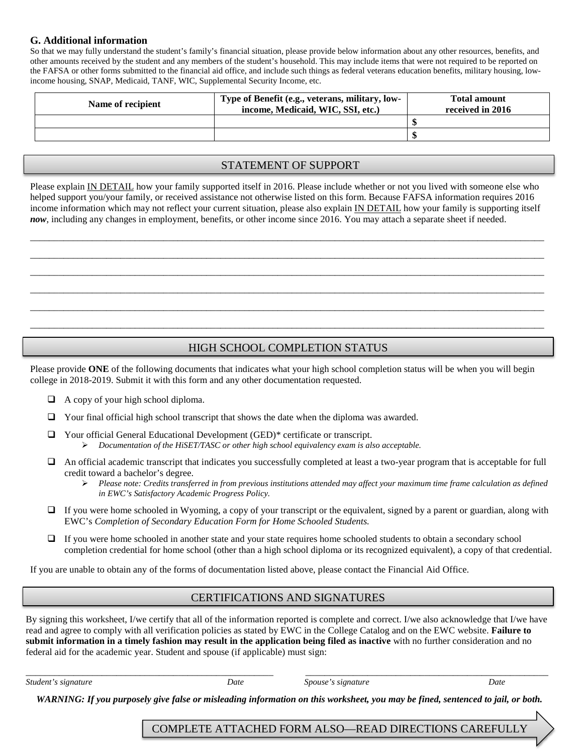#### **G. Additional information**

So that we may fully understand the student's family's financial situation, please provide below information about any other resources, benefits, and other amounts received by the student and any members of the student's household. This may include items that were not required to be reported on the FAFSA or other forms submitted to the financial aid office, and include such things as federal veterans education benefits, military housing, lowincome housing, SNAP, Medicaid, TANF, WIC, Supplemental Security Income, etc.

| Name of recipient | Type of Benefit (e.g., veterans, military, low-<br>income, Medicaid, WIC, SSI, etc.) | <b>Total amount</b><br>received in 2016 |
|-------------------|--------------------------------------------------------------------------------------|-----------------------------------------|
|                   |                                                                                      |                                         |
|                   |                                                                                      |                                         |

# STATEMENT OF SUPPORT

Please explain IN DETAIL how your family supported itself in 2016. Please include whether or not you lived with someone else who helped support you/your family, or received assistance not otherwise listed on this form. Because FAFSA information requires 2016 income information which may not reflect your current situation, please also explain IN DETAIL how your family is supporting itself *now*, including any changes in employment, benefits, or other income since 2016. You may attach a separate sheet if needed.

\_\_\_\_\_\_\_\_\_\_\_\_\_\_\_\_\_\_\_\_\_\_\_\_\_\_\_\_\_\_\_\_\_\_\_\_\_\_\_\_\_\_\_\_\_\_\_\_\_\_\_\_\_\_\_\_\_\_\_\_\_\_\_\_\_\_\_\_\_\_\_\_\_\_\_\_\_\_\_\_\_\_\_\_\_\_\_\_\_\_\_\_\_\_\_\_\_\_\_\_\_\_\_\_\_\_\_\_ \_\_\_\_\_\_\_\_\_\_\_\_\_\_\_\_\_\_\_\_\_\_\_\_\_\_\_\_\_\_\_\_\_\_\_\_\_\_\_\_\_\_\_\_\_\_\_\_\_\_\_\_\_\_\_\_\_\_\_\_\_\_\_\_\_\_\_\_\_\_\_\_\_\_\_\_\_\_\_\_\_\_\_\_\_\_\_\_\_\_\_\_\_\_\_\_\_\_\_\_\_\_\_\_\_\_\_\_ \_\_\_\_\_\_\_\_\_\_\_\_\_\_\_\_\_\_\_\_\_\_\_\_\_\_\_\_\_\_\_\_\_\_\_\_\_\_\_\_\_\_\_\_\_\_\_\_\_\_\_\_\_\_\_\_\_\_\_\_\_\_\_\_\_\_\_\_\_\_\_\_\_\_\_\_\_\_\_\_\_\_\_\_\_\_\_\_\_\_\_\_\_\_\_\_\_\_\_\_\_\_\_\_\_\_\_\_ \_\_\_\_\_\_\_\_\_\_\_\_\_\_\_\_\_\_\_\_\_\_\_\_\_\_\_\_\_\_\_\_\_\_\_\_\_\_\_\_\_\_\_\_\_\_\_\_\_\_\_\_\_\_\_\_\_\_\_\_\_\_\_\_\_\_\_\_\_\_\_\_\_\_\_\_\_\_\_\_\_\_\_\_\_\_\_\_\_\_\_\_\_\_\_\_\_\_\_\_\_\_\_\_\_\_\_\_ \_\_\_\_\_\_\_\_\_\_\_\_\_\_\_\_\_\_\_\_\_\_\_\_\_\_\_\_\_\_\_\_\_\_\_\_\_\_\_\_\_\_\_\_\_\_\_\_\_\_\_\_\_\_\_\_\_\_\_\_\_\_\_\_\_\_\_\_\_\_\_\_\_\_\_\_\_\_\_\_\_\_\_\_\_\_\_\_\_\_\_\_\_\_\_\_\_\_\_\_\_\_\_\_\_\_\_\_ \_\_\_\_\_\_\_\_\_\_\_\_\_\_\_\_\_\_\_\_\_\_\_\_\_\_\_\_\_\_\_\_\_\_\_\_\_\_\_\_\_\_\_\_\_\_\_\_\_\_\_\_\_\_\_\_\_\_\_\_\_\_\_\_\_\_\_\_\_\_\_\_\_\_\_\_\_\_\_\_\_\_\_\_\_\_\_\_\_\_\_\_\_\_\_\_\_\_\_\_\_\_\_\_\_\_\_\_

# HIGH SCHOOL COMPLETION STATUS

Please provide **ONE** of the following documents that indicates what your high school completion status will be when you will begin college in 2018-2019. Submit it with this form and any other documentation requested.

- $\Box$  A copy of your high school diploma.
- $\Box$  Your final official high school transcript that shows the date when the diploma was awarded.
- $\Box$  Your official General Educational Development (GED)\* certificate or transcript. *Documentation of the HiSET/TASC or other high school equivalency exam is also acceptable.*
- An official academic transcript that indicates you successfully completed at least a two-year program that is acceptable for full credit toward a bachelor's degree.
	- *Please note: Credits transferred in from previous institutions attended may affect your maximum time frame calculation as defined in EWC's Satisfactory Academic Progress Policy.*
- $\Box$  If you were home schooled in Wyoming, a copy of your transcript or the equivalent, signed by a parent or guardian, along with EWC's *Completion of Secondary Education Form for Home Schooled Students.*
- If you were home schooled in another state and your state requires home schooled students to obtain a secondary school completion credential for home school (other than a high school diploma or its recognized equivalent), a copy of that credential.

If you are unable to obtain any of the forms of documentation listed above, please contact the Financial Aid Office.

# CERTIFICATIONS AND SIGNATURES

By signing this worksheet, I/we certify that all of the information reported is complete and correct. I/we also acknowledge that I/we have read and agree to comply with all verification policies as stated by EWC in the College Catalog and on the EWC website. **Failure to submit information in a timely fashion may result in the application being filed as inactive** with no further consideration and no federal aid for the academic year. Student and spouse (if applicable) must sign:

\_\_\_\_\_\_\_\_\_\_\_\_\_\_\_\_\_\_\_\_\_\_\_\_\_\_\_\_\_\_\_\_\_\_\_\_\_\_\_\_\_\_\_\_\_\_\_\_\_\_\_\_ \_\_\_\_\_\_\_\_\_\_\_\_\_\_\_\_\_\_\_\_\_\_\_\_\_\_\_\_\_\_\_\_\_\_\_\_\_\_\_\_\_\_\_\_\_\_\_\_\_\_\_ *Student's signature Date Spouse's signature Date*

*WARNING: If you purposely give false or misleading information on this worksheet, you may be fined, sentenced to jail, or both.*

# COMPLETE ATTACHED FORM ALSO—READ DIRECTIONS CAREFULLY